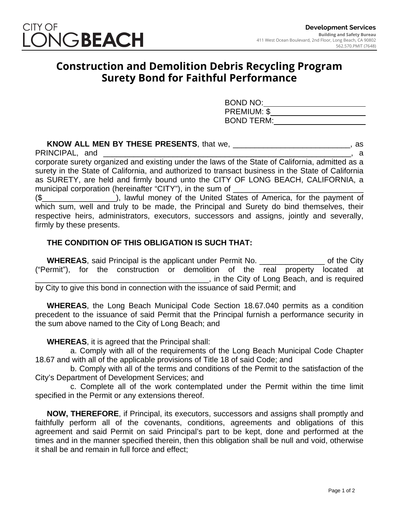

## **Construction and Demolition Debris Recycling Program Surety Bond for Faithful Performance**

| <b>BOND NO:</b>    |  |
|--------------------|--|
| <b>PREMIUM: \$</b> |  |
| <b>BOND TERM:</b>  |  |

## **KNOW ALL MEN BY THESE PRESENTS**, that we, \_\_\_\_\_\_\_\_\_\_\_\_\_\_\_\_\_\_\_\_\_\_\_\_\_\_\_, as  $PRINCIPAL$ , and  $\qquad \qquad \qquad$ corporate surety organized and existing under the laws of the State of California, admitted as a surety in the State of California, and authorized to transact business in the State of California as SURETY, are held and firmly bound unto the CITY OF LONG BEACH, CALIFORNIA, a municipal corporation (hereinafter "CITY"), in the sum of \_

(\$\_\_\_\_\_\_\_\_\_\_\_\_\_\_\_\_\_), lawful money of the United States of America, for the payment of which sum, well and truly to be made, the Principal and Surety do bind themselves, their respective heirs, administrators, executors, successors and assigns, jointly and severally, firmly by these presents.

## **THE CONDITION OF THIS OBLIGATION IS SUCH THAT:**

**WHEREAS**, said Principal is the applicant under Permit No. \_\_\_\_\_\_\_\_\_\_\_\_\_\_\_ of the City ("Permit"), for the construction or demolition of the real property located at \_\_\_\_\_\_\_\_\_\_\_\_\_\_\_\_\_\_\_\_\_\_\_\_\_\_\_\_\_\_\_\_\_\_\_\_\_\_\_\_, in the City of Long Beach, and is required by City to give this bond in connection with the issuance of said Permit; and

**WHEREAS**, the Long Beach Municipal Code Section 18.67.040 permits as a condition precedent to the issuance of said Permit that the Principal furnish a performance security in the sum above named to the City of Long Beach; and

**WHEREAS**, it is agreed that the Principal shall:

a. Comply with all of the requirements of the Long Beach Municipal Code Chapter 18.67 and with all of the applicable provisions of Title 18 of said Code; and

b. Comply with all of the terms and conditions of the Permit to the satisfaction of the City's Department of Development Services; and

c. Complete all of the work contemplated under the Permit within the time limit specified in the Permit or any extensions thereof.

**NOW, THEREFORE**, if Principal, its executors, successors and assigns shall promptly and faithfully perform all of the covenants, conditions, agreements and obligations of this agreement and said Permit on said Principal's part to be kept, done and performed at the times and in the manner specified therein, then this obligation shall be null and void, otherwise it shall be and remain in full force and effect;